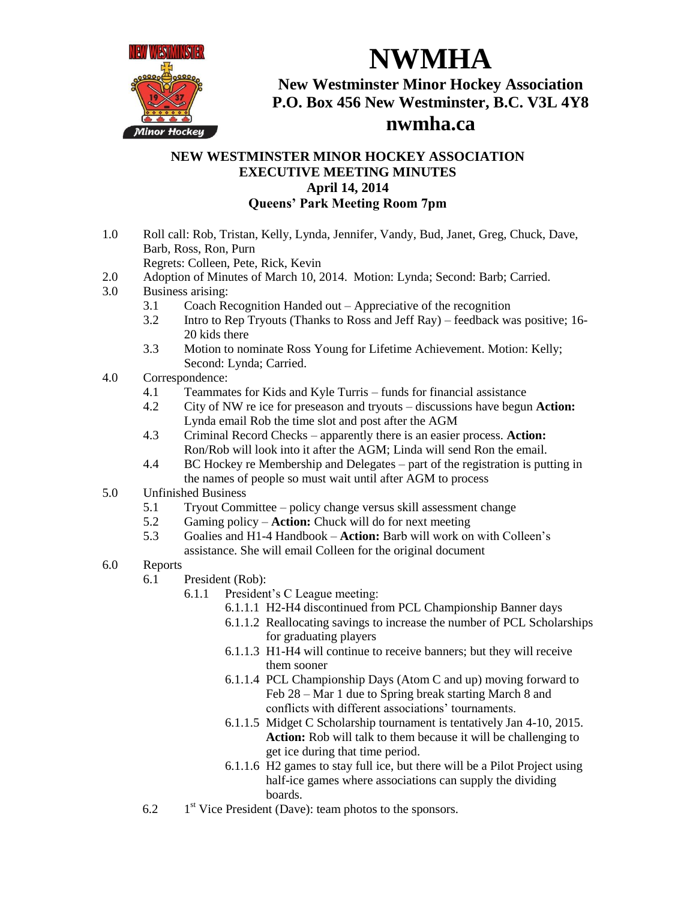

**New Westminster Minor Hockey Association P.O. Box 456 New Westminster, B.C. V3L 4Y8**

**NWMHA**

## **nwmha.ca**

## **NEW WESTMINSTER MINOR HOCKEY ASSOCIATION EXECUTIVE MEETING MINUTES April 14, 2014 Queens' Park Meeting Room 7pm**

1.0 Roll call: Rob, Tristan, Kelly, Lynda, Jennifer, Vandy, Bud, Janet, Greg, Chuck, Dave, Barb, Ross, Ron, Purn

Regrets: Colleen, Pete, Rick, Kevin

- 2.0 Adoption of Minutes of March 10, 2014. Motion: Lynda; Second: Barb; Carried.
- 3.0 Business arising:
	- 3.1 Coach Recognition Handed out Appreciative of the recognition
	- 3.2 Intro to Rep Tryouts (Thanks to Ross and Jeff Ray) feedback was positive; 16- 20 kids there
	- 3.3 Motion to nominate Ross Young for Lifetime Achievement. Motion: Kelly; Second: Lynda; Carried.
- 4.0 Correspondence:
	- 4.1 Teammates for Kids and Kyle Turris funds for financial assistance
	- 4.2 City of NW re ice for preseason and tryouts discussions have begun **Action:** Lynda email Rob the time slot and post after the AGM
	- 4.3 Criminal Record Checks apparently there is an easier process. **Action:** Ron/Rob will look into it after the AGM; Linda will send Ron the email.
	- 4.4 BC Hockey re Membership and Delegates part of the registration is putting in the names of people so must wait until after AGM to process
- 5.0 Unfinished Business
	- 5.1 Tryout Committee policy change versus skill assessment change
	- 5.2 Gaming policy **Action:** Chuck will do for next meeting
	- 5.3 Goalies and H1-4 Handbook **Action:** Barb will work on with Colleen's assistance. She will email Colleen for the original document
- 6.0 Reports
	- 6.1 President (Rob):
		- 6.1.1 President's C League meeting:
			- 6.1.1.1 H2-H4 discontinued from PCL Championship Banner days
			- 6.1.1.2 Reallocating savings to increase the number of PCL Scholarships for graduating players
			- 6.1.1.3 H1-H4 will continue to receive banners; but they will receive them sooner
			- 6.1.1.4 PCL Championship Days (Atom C and up) moving forward to Feb 28 – Mar 1 due to Spring break starting March 8 and conflicts with different associations' tournaments.
			- 6.1.1.5 Midget C Scholarship tournament is tentatively Jan 4-10, 2015. **Action:** Rob will talk to them because it will be challenging to get ice during that time period.
			- 6.1.1.6 H2 games to stay full ice, but there will be a Pilot Project using half-ice games where associations can supply the dividing boards.
	- 6.2  $1<sup>st</sup>$  Vice President (Dave): team photos to the sponsors.